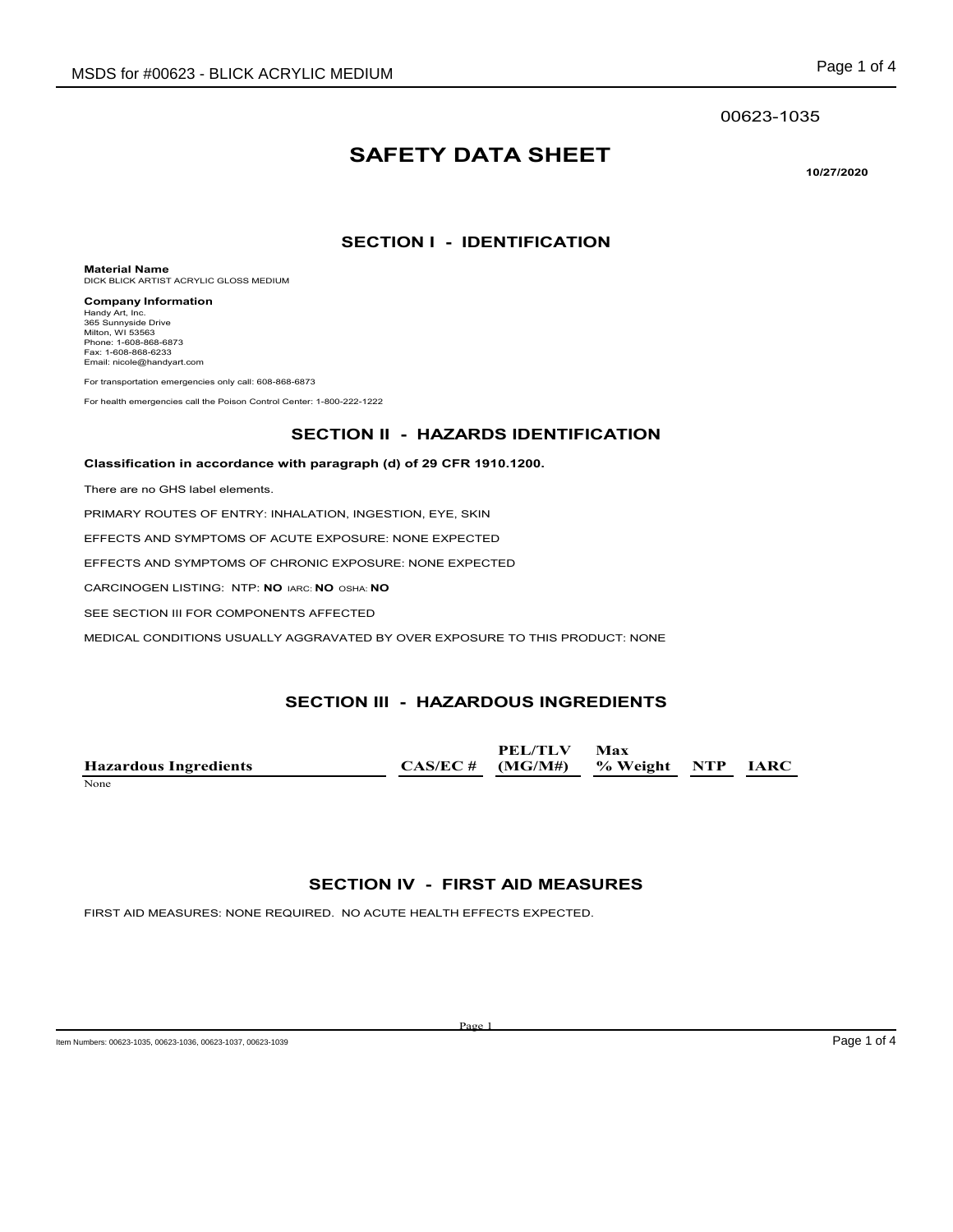#### 00623-1035

# **SAFETY DATA SHEET**

**10/27/2020**

#### **SECTION I - IDENTIFICATION**

**Material Name** DICK BLICK ARTIST ACRYLIC GLOSS MEDIUM

**Company Information** Handy Art, Inc. 365 Sunnyside Drive Milton, WI 53563 Phone: 1-608-868-6873 Fax: 1-608-868-6233 Email: nicole@handyart.com

For transportation emergencies only call: 608-868-6873

For health emergencies call the Poison Control Center: 1-800-222-1222

#### **SECTION II - HAZARDS IDENTIFICATION**

#### **Classification in accordance with paragraph (d) of 29 CFR 1910.1200.**

There are no GHS label elements.

PRIMARY ROUTES OF ENTRY: INHALATION, INGESTION, EYE, SKIN

EFFECTS AND SYMPTOMS OF ACUTE EXPOSURE: NONE EXPECTED

EFFECTS AND SYMPTOMS OF CHRONIC EXPOSURE: NONE EXPECTED

CARCINOGEN LISTING: NTP: **NO** IARC: **NO** OSHA: **NO**

SEE SECTION III FOR COMPONENTS AFFECTED

MEDICAL CONDITIONS USUALLY AGGRAVATED BY OVER EXPOSURE TO THIS PRODUCT: NONE

#### **SECTION III - HAZARDOUS INGREDIENTS**

|                              | PEL/TLV                               | Max |  |
|------------------------------|---------------------------------------|-----|--|
| <b>Hazardous Ingredients</b> | $CAS/EC \#$ (MG/M#) % Weight NTP IARC |     |  |
| None                         |                                       |     |  |

#### **SECTION IV - FIRST AID MEASURES**

FIRST AID MEASURES: NONE REQUIRED. NO ACUTE HEALTH EFFECTS EXPECTED.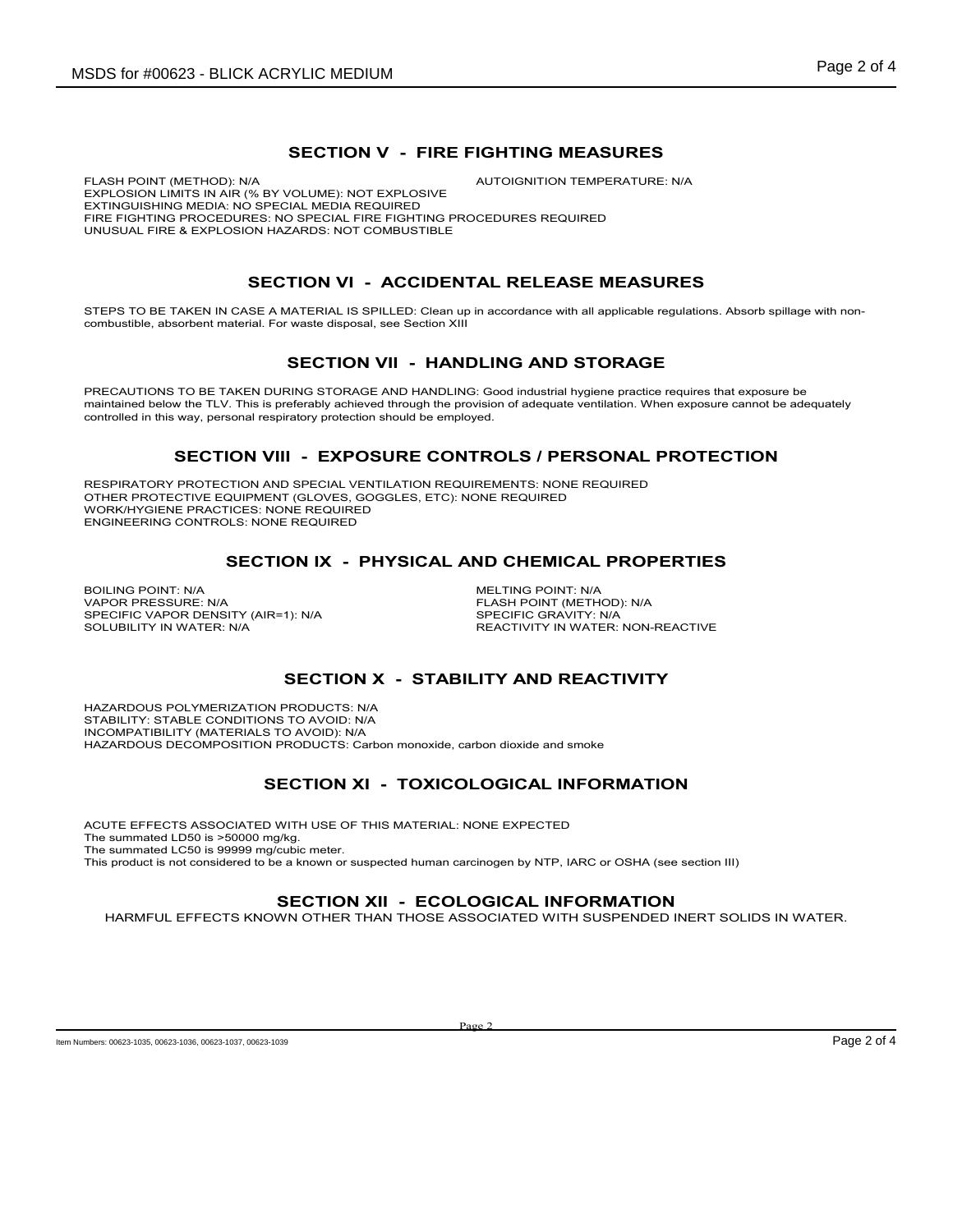#### **SECTION V - FIRE FIGHTING MEASURES**

FLASH POINT (METHOD): N/A  $\blacksquare$  AUTOIGNITION TEMPERATURE: N/A EXPLOSION LIMITS IN AIR (% BY VOLUME): NOT EXPLOSIVE EXTINGUISHING MEDIA: NO SPECIAL MEDIA REQUIRED FIRE FIGHTING PROCEDURES: NO SPECIAL FIRE FIGHTING PROCEDURES REQUIRED UNUSUAL FIRE & EXPLOSION HAZARDS: NOT COMBUSTIBLE

# **SECTION VI - ACCIDENTAL RELEASE MEASURES**

STEPS TO BE TAKEN IN CASE A MATERIAL IS SPILLED: Clean up in accordance with all applicable regulations. Absorb spillage with noncombustible, absorbent material. For waste disposal, see Section XIII

### **SECTION VII - HANDLING AND STORAGE**

PRECAUTIONS TO BE TAKEN DURING STORAGE AND HANDLING: Good industrial hygiene practice requires that exposure be maintained below the TLV. This is preferably achieved through the provision of adequate ventilation. When exposure cannot be adequately controlled in this way, personal respiratory protection should be employed.

### **SECTION VIII - EXPOSURE CONTROLS / PERSONAL PROTECTION**

RESPIRATORY PROTECTION AND SPECIAL VENTILATION REQUIREMENTS: NONE REQUIRED OTHER PROTECTIVE EQUIPMENT (GLOVES, GOGGLES, ETC): NONE REQUIRED WORK/HYGIENE PRACTICES: NONE REQUIRED ENGINEERING CONTROLS: NONE REQUIRED

### **SECTION IX - PHYSICAL AND CHEMICAL PROPERTIES**

BOILING POINT: N/A<br>
VAPOR PRESSURE: N/A<br>
VAPOR PRESSURE: N/A SPECIFIC VAPOR DENSITY (AIR=1): N/A<br>SOLUBILITY IN WATER: N/A

FLASH POINT (METHOD): N/A<br>SPECIFIC GRAVITY: N/A REACTIVITY IN WATER: NON-REACTIVE

# **SECTION X - STABILITY AND REACTIVITY**

HAZARDOUS POLYMERIZATION PRODUCTS: N/A STABILITY: STABLE CONDITIONS TO AVOID: N/A INCOMPATIBILITY (MATERIALS TO AVOID): N/A HAZARDOUS DECOMPOSITION PRODUCTS: Carbon monoxide, carbon dioxide and smoke

# **SECTION XI - TOXICOLOGICAL INFORMATION**

ACUTE EFFECTS ASSOCIATED WITH USE OF THIS MATERIAL: NONE EXPECTED The summated LD50 is >50000 mg/kg. The summated LC50 is 99999 mg/cubic meter. This product is not considered to be a known or suspected human carcinogen by NTP, IARC or OSHA (see section III)

#### **SECTION XII - ECOLOGICAL INFORMATION**

HARMFUL EFFECTS KNOWN OTHER THAN THOSE ASSOCIATED WITH SUSPENDED INERT SOLIDS IN WATER.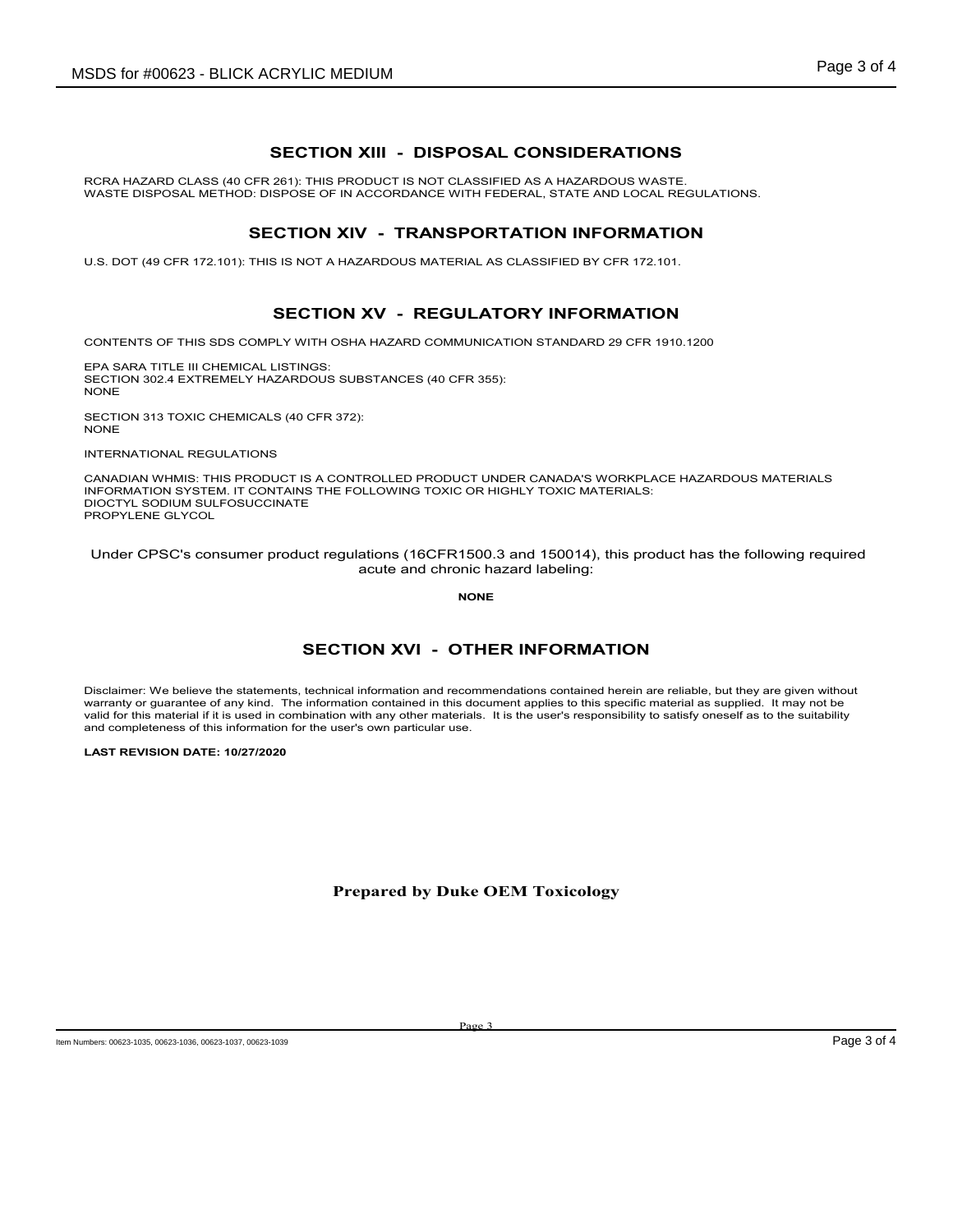# **SECTION XIII - DISPOSAL CONSIDERATIONS**

RCRA HAZARD CLASS (40 CFR 261): THIS PRODUCT IS NOT CLASSIFIED AS A HAZARDOUS WASTE. WASTE DISPOSAL METHOD: DISPOSE OF IN ACCORDANCE WITH FEDERAL, STATE AND LOCAL REGULATIONS.

#### **SECTION XIV - TRANSPORTATION INFORMATION**

U.S. DOT (49 CFR 172.101): THIS IS NOT A HAZARDOUS MATERIAL AS CLASSIFIED BY CFR 172.101.

### **SECTION XV - REGULATORY INFORMATION**

CONTENTS OF THIS SDS COMPLY WITH OSHA HAZARD COMMUNICATION STANDARD 29 CFR 1910.1200

EPA SARA TITLE III CHEMICAL LISTINGS: SECTION 302.4 EXTREMELY HAZARDOUS SUBSTANCES (40 CFR 355): **NONE** 

SECTION 313 TOXIC CHEMICALS (40 CFR 372): NONE

INTERNATIONAL REGULATIONS

CANADIAN WHMIS: THIS PRODUCT IS A CONTROLLED PRODUCT UNDER CANADA'S WORKPLACE HAZARDOUS MATERIALS INFORMATION SYSTEM. IT CONTAINS THE FOLLOWING TOXIC OR HIGHLY TOXIC MATERIALS: DIOCTYL SODIUM SULFOSUCCINATE PROPYLENE GLYCOL

 Under CPSC's consumer product regulations (16CFR1500.3 and 150014), this product has the following required acute and chronic hazard labeling:

**NONE**

# **SECTION XVI - OTHER INFORMATION**

Disclaimer: We believe the statements, technical information and recommendations contained herein are reliable, but they are given without warranty or guarantee of any kind. The information contained in this document applies to this specific material as supplied. It may not be valid for this material if it is used in combination with any other materials. It is the user's responsibility to satisfy oneself as to the suitability and completeness of this information for the user's own particular use.

**LAST REVISION DATE: 10/27/2020**

#### **Prepared by Duke OEM Toxicology**